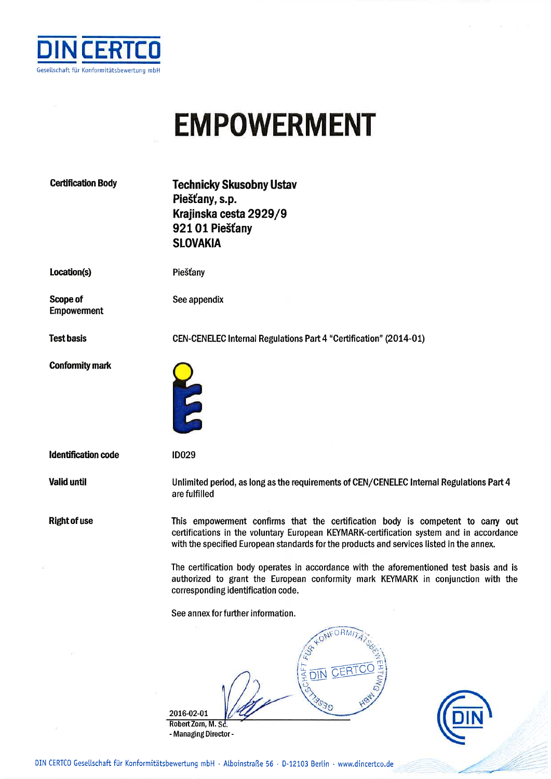

## **EMPOWERMENT**

| <b>Certification Body</b>      | <b>Technicky Skusobny Ustav</b><br>Piešťany, s.p.<br>Krajinska cesta 2929/9<br>92101 Piešťany<br><b>SLOVAKIA</b>                                                                                                                                                                                                                                                                                                                                                                            |
|--------------------------------|---------------------------------------------------------------------------------------------------------------------------------------------------------------------------------------------------------------------------------------------------------------------------------------------------------------------------------------------------------------------------------------------------------------------------------------------------------------------------------------------|
| Location(s)                    | Piešťany                                                                                                                                                                                                                                                                                                                                                                                                                                                                                    |
| Scope of<br><b>Empowerment</b> | See appendix                                                                                                                                                                                                                                                                                                                                                                                                                                                                                |
| <b>Test basis</b>              | <b>CEN-CENELEC Internal Regulations Part 4 "Certification" (2014-01)</b>                                                                                                                                                                                                                                                                                                                                                                                                                    |
| <b>Conformity mark</b>         | E                                                                                                                                                                                                                                                                                                                                                                                                                                                                                           |
| <b>Identification code</b>     | <b>ID029</b>                                                                                                                                                                                                                                                                                                                                                                                                                                                                                |
| <b>Valid until</b>             | Unlimited period, as long as the requirements of CEN/CENELEC Internal Regulations Part 4<br>are fulfilled                                                                                                                                                                                                                                                                                                                                                                                   |
| <b>Right of use</b>            | This empowerment confirms that the certification body is competent to carry out<br>certifications in the voluntary European KEYMARK-certification system and in accordance<br>with the specified European standards for the products and services listed in the annex.<br>The certification body operates in accordance with the aforementioned test basis and is<br>authorized to grant the European conformity mark KEYMARK in conjunction with the<br>corresponding identification code. |
|                                | See annex for further information.                                                                                                                                                                                                                                                                                                                                                                                                                                                          |
|                                | ORM<br><b>GCHAFT</b><br>CERTO<br>DIN<br>3030<br>2016-02-01<br>Robert Zorn, M. Sc.<br>- Managing Director -                                                                                                                                                                                                                                                                                                                                                                                  |